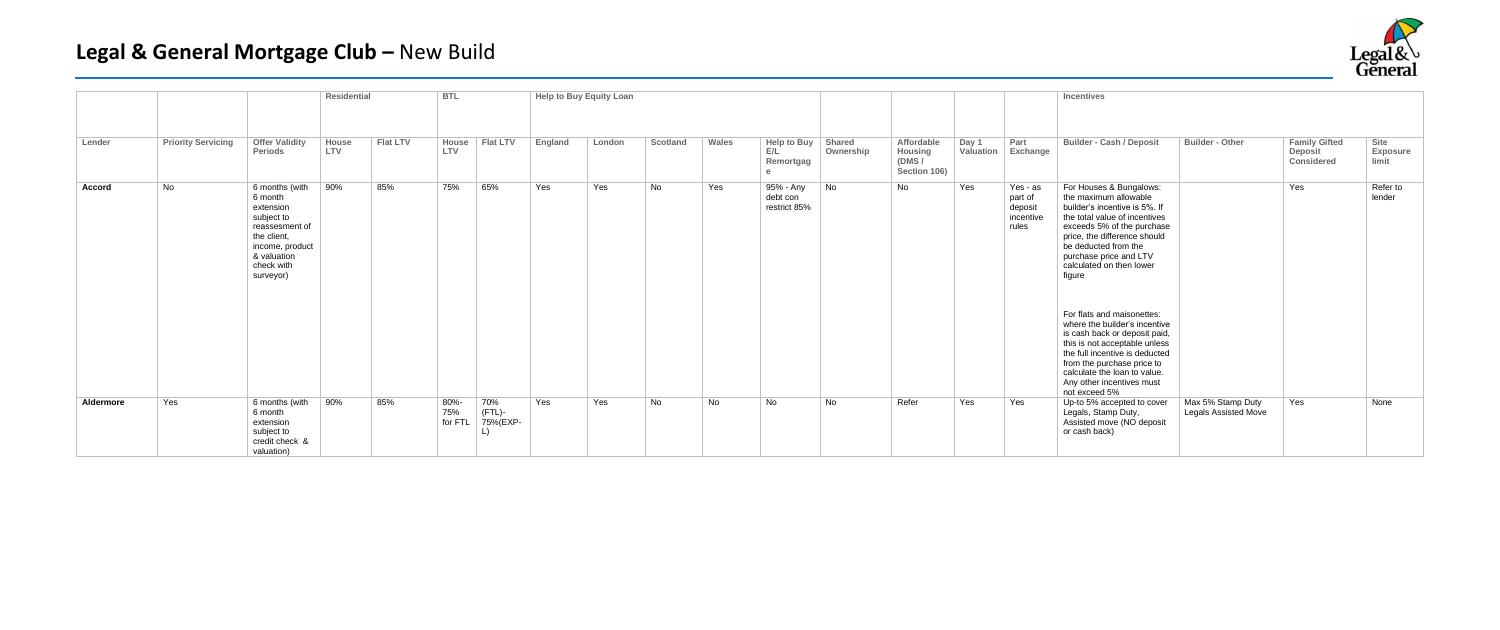|           |                           |                                                                                                                                                    | <b>Residential</b> |                 | <b>BTL</b>             |                           | <b>Help to Buy Equity Loan</b> |        |          |       |                                       |                     |                                                |                    |                                                      | <b>Incentives</b>                                                                                                                                                                                                                                                                                                                                                                                                                                                         |                                                  |                                               |                           |
|-----------|---------------------------|----------------------------------------------------------------------------------------------------------------------------------------------------|--------------------|-----------------|------------------------|---------------------------|--------------------------------|--------|----------|-------|---------------------------------------|---------------------|------------------------------------------------|--------------------|------------------------------------------------------|---------------------------------------------------------------------------------------------------------------------------------------------------------------------------------------------------------------------------------------------------------------------------------------------------------------------------------------------------------------------------------------------------------------------------------------------------------------------------|--------------------------------------------------|-----------------------------------------------|---------------------------|
|           |                           |                                                                                                                                                    |                    |                 |                        |                           |                                |        |          |       |                                       |                     |                                                |                    |                                                      |                                                                                                                                                                                                                                                                                                                                                                                                                                                                           |                                                  |                                               |                           |
| Lender    | <b>Priority Servicing</b> | <b>Offer Validity</b><br>Periods                                                                                                                   | House<br>LTV       | <b>Flat LTV</b> | House<br>LTV           | <b>Flat LTV</b>           | England                        | London | Scotland | Wales | Help to Buy<br>E/L<br>Remortgag       | Shared<br>Ownership | Affordable<br>Housing<br>(DMS/<br>Section 106) | Day 1<br>Valuation | Part<br>Exchange                                     | <b>Builder - Cash / Deposit</b>                                                                                                                                                                                                                                                                                                                                                                                                                                           | <b>Builder - Other</b>                           | <b>Family Gifted</b><br>Deposit<br>Considered | Site<br>Exposure<br>limit |
| Accord    | No                        | 6 months (with<br>6 month<br>extension<br>subject to<br>reassesment of<br>the client.<br>income, product<br>& valuation<br>check with<br>surveyor) | 90%                | 85%             | 75%                    | 65%                       | Yes                            | Yes    | No       | Yes   | 95% - Any<br>debt con<br>restrict 85% | No                  | No                                             | Yes                | Yes - as<br>part of<br>deposit<br>incentive<br>rules | For Houses & Bungalows:<br>the maximum allowable<br>builder's incentive is 5%. If<br>the total value of incentives<br>exceeds 5% of the purchase<br>price, the difference should<br>be deducted from the<br>purchase price and LTV<br>calculated on then lower<br>figure<br>For flats and maisonettes:<br>where the builder's incentive<br>is cash back or deposit paid,<br>this is not acceptable unless<br>the full incentive is deducted<br>from the purchase price to |                                                  | Yes                                           | Refer to<br>lender        |
|           |                           |                                                                                                                                                    |                    |                 |                        |                           |                                |        |          |       |                                       |                     |                                                |                    |                                                      | calculate the loan to value.<br>Any other incentives must<br>not exceed 5%                                                                                                                                                                                                                                                                                                                                                                                                |                                                  |                                               |                           |
| Aldermore | Yes                       | 6 months (with<br>6 month<br>extension<br>subject to<br>credit check &<br>valuation)                                                               | 90%                | 85%             | 80%-<br>75%<br>for FTL | 70%<br>(FTL)-<br>75%(EXP- | Yes                            | Yes    | No       | No    | No                                    | No                  | Refer                                          | Yes                | Yes                                                  | Up-to 5% accepted to cover<br>Legals, Stamp Duty,<br>Assisted move (NO deposit<br>or cash back)                                                                                                                                                                                                                                                                                                                                                                           | Max 5% Stamp Duty<br><b>Legals Assisted Move</b> | Yes                                           | None                      |

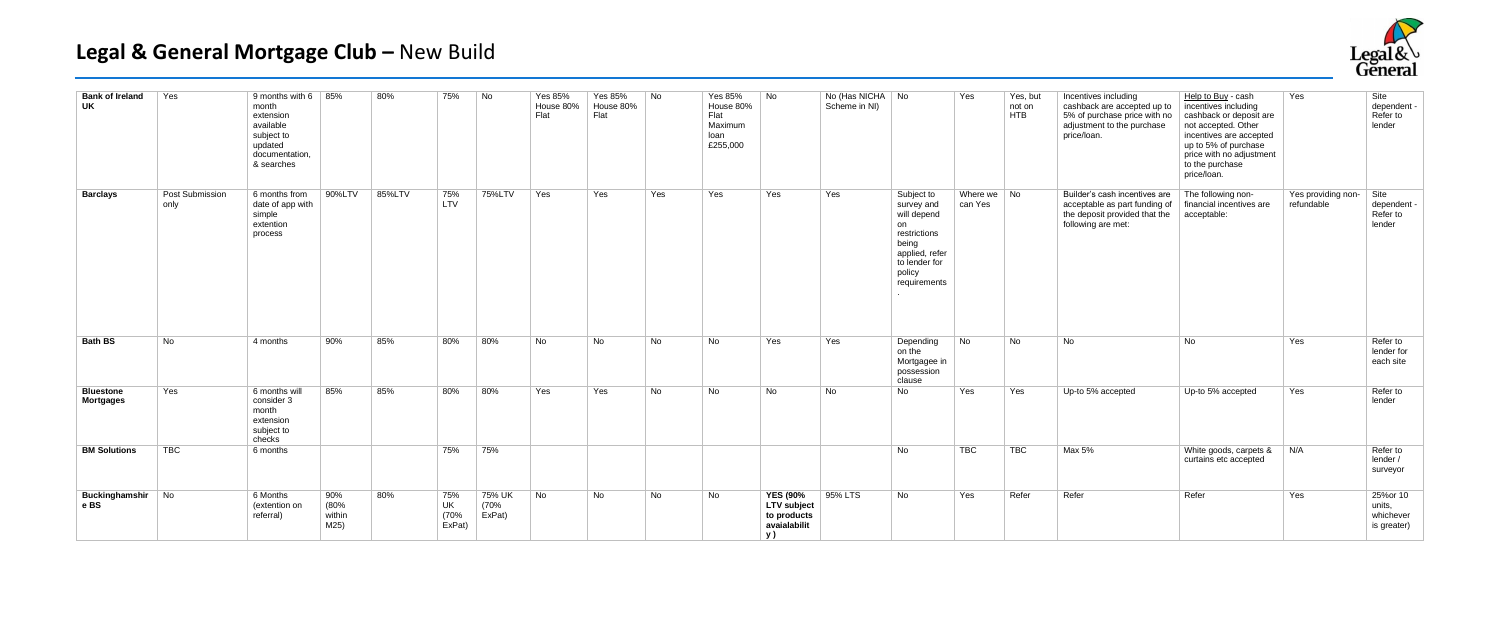| <b>Bank of Ireland</b><br>UK         | Yes                            | 9 months with 6 $ 85%$<br>month<br>extension<br>available<br>subject to<br>updated<br>documentation.<br>& searches |                               | 80%    | 75%                         | No                       | Yes 85%<br>House 80%<br>Flat | Yes 85%<br>House 80%<br>Flat | No  | <b>Yes 85%</b><br>House 80%<br>Flat<br>Maximum<br>loan<br>£255,000 | No                                                                  | No (Has NICHA No<br>Scheme in NI) |                                                                                                                                     | Yes                      | Yes, but<br>not on<br><b>HTB</b> | Incentives including<br>cashback are accepted up to<br>5% of purchase price with no<br>adjustment to the purchase<br>price/loan. | Help to Buy - cash<br>incentives including<br>cashback or deposit are<br>not accepted. Other<br>incentives are accepted<br>up to 5% of purchase<br>price with no adjustment<br>to the purchase<br>price/loan. | Yes                              | Site<br>dependent<br>Refer to<br>lender        |
|--------------------------------------|--------------------------------|--------------------------------------------------------------------------------------------------------------------|-------------------------------|--------|-----------------------------|--------------------------|------------------------------|------------------------------|-----|--------------------------------------------------------------------|---------------------------------------------------------------------|-----------------------------------|-------------------------------------------------------------------------------------------------------------------------------------|--------------------------|----------------------------------|----------------------------------------------------------------------------------------------------------------------------------|---------------------------------------------------------------------------------------------------------------------------------------------------------------------------------------------------------------|----------------------------------|------------------------------------------------|
| <b>Barclays</b>                      | <b>Post Submission</b><br>only | 6 months from<br>date of app with<br>simple<br>extention<br>process                                                | 90%LTV                        | 85%LTV | 75%<br>LTV                  | 75%LTV                   | Yes                          | Yes                          | Yes | Yes                                                                | Yes                                                                 | Yes                               | Subject to<br>survey and<br>will depend<br>on<br>restrictions<br>being<br>applied, refer<br>to lender for<br>policy<br>requirements | Where $we$ No<br>can Yes |                                  | Builder's cash incentives are<br>acceptable as part funding of<br>the deposit provided that the<br>following are met:            | The following non-<br>financial incentives are<br>acceptable:                                                                                                                                                 | Yes providing non-<br>refundable | Site<br>dependent<br>Refer to<br>lender        |
| <b>Bath BS</b>                       | <b>No</b>                      | 4 months                                                                                                           | 90%                           | 85%    | 80%                         | 80%                      | No                           | No                           | No  | <b>No</b>                                                          | Yes                                                                 | Yes                               | Depending<br>on the<br>Mortgagee in<br>possession<br>clause                                                                         | No                       | No                               | No                                                                                                                               | No                                                                                                                                                                                                            | Yes                              | Refer to<br>lender for<br>each site            |
| <b>Bluestone</b><br><b>Mortgages</b> | Yes                            | 6 months will<br>consider 3<br>month<br>extension<br>subject to<br>checks                                          | 85%                           | 85%    | 80%                         | 80%                      | Yes                          | Yes                          | No  | No                                                                 | No                                                                  | No                                | No                                                                                                                                  | Yes                      | Yes                              | Up-to 5% accepted                                                                                                                | Up-to 5% accepted                                                                                                                                                                                             | Yes                              | Refer to<br>lender                             |
| <b>BM Solutions</b>                  | TBC                            | 6 months                                                                                                           |                               |        | 75%                         | 75%                      |                              |                              |     |                                                                    |                                                                     |                                   | No                                                                                                                                  | <b>TBC</b>               | <b>TBC</b>                       | Max 5%                                                                                                                           | White goods, carpets &<br>curtains etc accepted                                                                                                                                                               | N/A                              | Refer to<br>lender /<br>surveyor               |
| <b>Buckinghamshir</b> No<br>e BS     |                                | 6 Months<br>(extention on<br>referral)                                                                             | 90%<br>(80%<br>within<br>M25) | 80%    | 75%<br>UK<br>(70%<br>ExPat) | 75% UK<br>(70%<br>ExPat) | No                           | No                           | No  | No                                                                 | <b>YES (90%</b><br>LTV subject<br>to products<br>avaialabilit<br>y) | 95% LTS                           | No                                                                                                                                  | Yes                      | Refer                            | Refer                                                                                                                            | Refer                                                                                                                                                                                                         | Yes                              | 25%or 10<br>units,<br>whichever<br>is greater) |

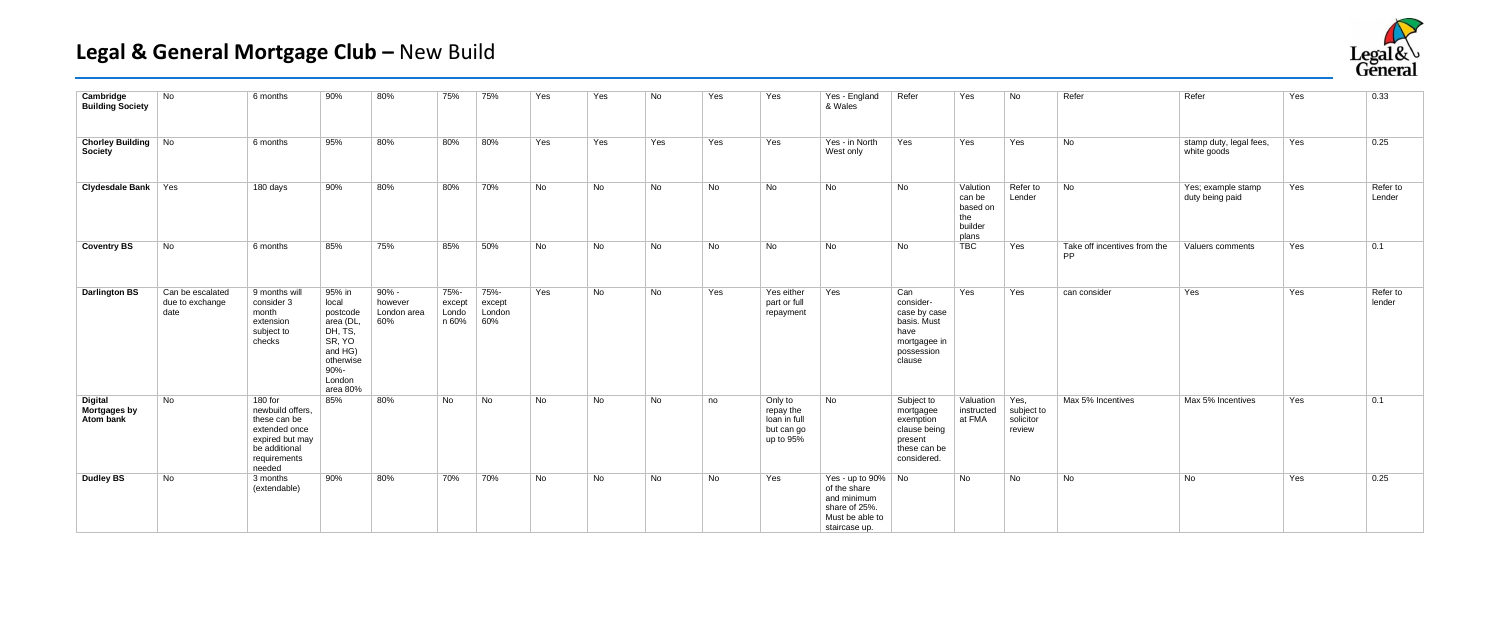| Cambridge<br><b>Building Society</b>         | <b>No</b>                                   | 6 months                                                                                                                   | 90%                                                                                                                    | 80%                                    | 75%                              | 75%                             | Yes       | Yes | No        | Yes       | Yes                                                             | Yes - England<br>& Wales                                                                               | Refer                                                                                           | Yes                                                       | No.                                       | Refer                                     | Refer                                  | Yes | 0.33               |
|----------------------------------------------|---------------------------------------------|----------------------------------------------------------------------------------------------------------------------------|------------------------------------------------------------------------------------------------------------------------|----------------------------------------|----------------------------------|---------------------------------|-----------|-----|-----------|-----------|-----------------------------------------------------------------|--------------------------------------------------------------------------------------------------------|-------------------------------------------------------------------------------------------------|-----------------------------------------------------------|-------------------------------------------|-------------------------------------------|----------------------------------------|-----|--------------------|
| <b>Chorley Building No</b><br><b>Society</b> |                                             | 6 months                                                                                                                   | 95%                                                                                                                    | 80%                                    | 80%                              | 80%                             | Yes       | Yes | Yes       | Yes       | Yes                                                             | Yes - in North<br>West only                                                                            | Yes                                                                                             | Yes                                                       | Yes                                       | No                                        | stamp duty, legal fees,<br>white goods | Yes | 0.25               |
| <b>Clydesdale Bank</b> Yes                   |                                             | 180 days                                                                                                                   | 90%                                                                                                                    | 80%                                    | 80%                              | 70%                             | <b>No</b> | No  | No        | No        | <b>No</b>                                                       | No                                                                                                     | <b>No</b>                                                                                       | Valution<br>can be<br>based on<br>the<br>builder<br>plans | Refer to<br>Lender                        | No                                        | Yes; example stamp<br>duty being paid  | Yes | Refer to<br>Lender |
| <b>Coventry BS</b>                           | No                                          | 6 months                                                                                                                   | 85%                                                                                                                    | 75%                                    | 85%                              | 50%                             | No        | No  | <b>No</b> | <b>No</b> | No                                                              | <b>No</b>                                                                                              | <b>No</b>                                                                                       | <b>TBC</b>                                                | Yes                                       | Take off incentives from the<br><b>PP</b> | Valuers comments                       | Yes | 0.1                |
| <b>Darlington BS</b>                         | Can be escalated<br>due to exchange<br>date | 9 months will<br>consider 3<br>month<br>extension<br>subject to<br>checks                                                  | 95% in<br>local<br>postcode<br>area (DL,<br>DH, TS,<br>SR, YO<br>and HG)<br>otherwise<br>$90% -$<br>London<br>area 80% | 90% -<br>however<br>London area<br>60% | 75%-<br>except<br>Londo<br>n 60% | 75%-<br>except<br>London<br>60% | Yes       | No. | No        | Yes       | Yes either<br>part or full<br>repayment                         | Yes                                                                                                    | Can<br>consider-<br>case by case<br>basis. Must<br>have<br>mortgagee in<br>possession<br>clause | Yes                                                       | Yes                                       | can consider                              | Yes                                    | Yes | Refer to<br>lender |
| <b>Digital</b><br>Mortgages by<br>Atom bank  | No                                          | 180 for<br>newbuild offers,<br>these can be<br>extended once<br>expired but may<br>be additional<br>requirements<br>needed | 85%                                                                                                                    | 80%                                    | <b>No</b>                        | No                              | No        | No  | No        | no        | Only to<br>repay the<br>loan in full<br>but can go<br>up to 95% | No                                                                                                     | Subject to<br>mortgagee<br>exemption<br>clause being<br>present<br>these can be<br>considered.  | Valuation<br>instructed<br>at FMA                         | Yes,<br>subject to<br>solicitor<br>review | Max 5% Incentives                         | Max 5% Incentives                      | Yes | 0.1                |
| <b>Dudley BS</b>                             | No                                          | 3 months<br>(extendable)                                                                                                   | 90%                                                                                                                    | 80%                                    | 70%                              | 70%                             | No        | No  | No        | No        | Yes                                                             | Yes - up to 90% No<br>of the share<br>and minimum<br>share of 25%.<br>Must be able to<br>staircase up. |                                                                                                 | No                                                        | No                                        | No                                        | No                                     | Yes | 0.25               |

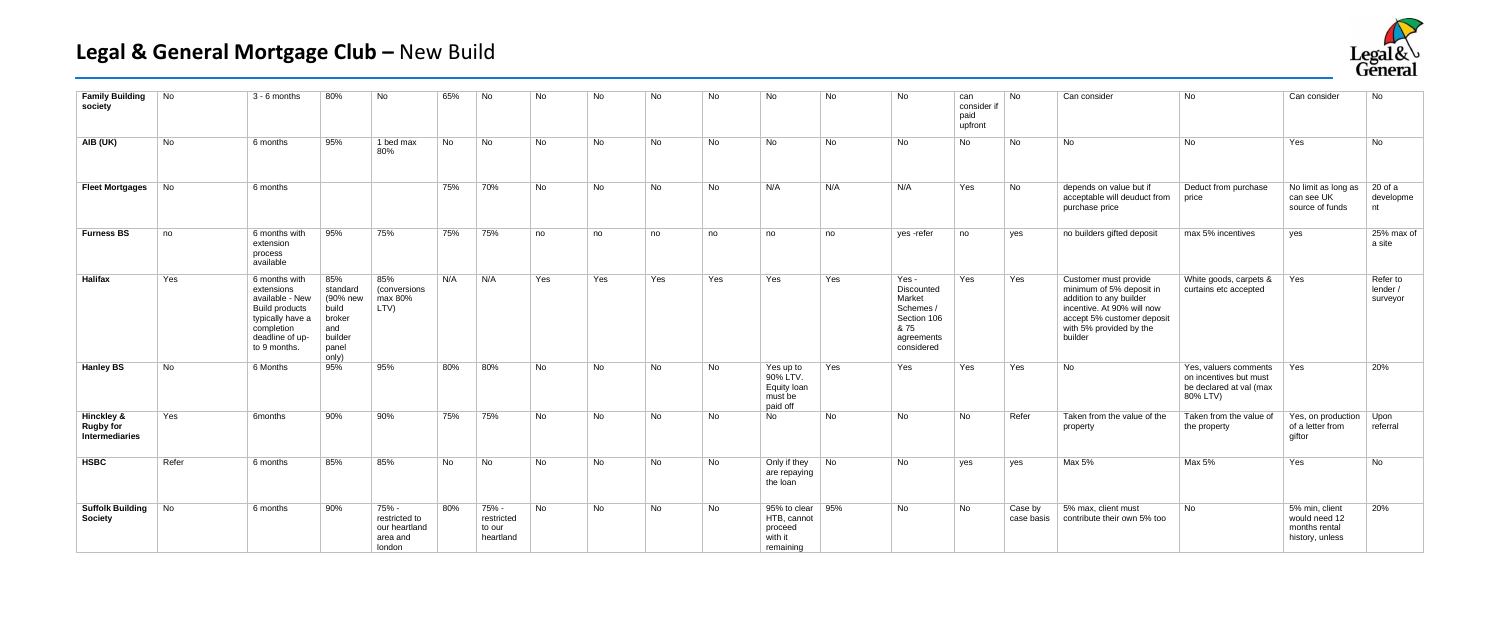| <b>Family Building</b><br>society                           | No    | 3 - 6 months                                                                                                                                 | 80%                                                                                | No                                                            | 65% | No                                         | No  | No        | No  | No        | No                                                                         | No  | No                                                                                            | can<br>consider if<br>paid<br>upfront | <b>No</b>             | Can consider                                                                                                                                                                   | No                                                                                     | Can consider                                                        | No                               |
|-------------------------------------------------------------|-------|----------------------------------------------------------------------------------------------------------------------------------------------|------------------------------------------------------------------------------------|---------------------------------------------------------------|-----|--------------------------------------------|-----|-----------|-----|-----------|----------------------------------------------------------------------------|-----|-----------------------------------------------------------------------------------------------|---------------------------------------|-----------------------|--------------------------------------------------------------------------------------------------------------------------------------------------------------------------------|----------------------------------------------------------------------------------------|---------------------------------------------------------------------|----------------------------------|
| AIB (UK)                                                    | No    | 6 months                                                                                                                                     | 95%                                                                                | 1 bed max<br>80%                                              | No. | No                                         | No. | <b>No</b> | No  | <b>No</b> | <b>No</b>                                                                  | No  | No.                                                                                           | No.                                   | <b>No</b>             | No                                                                                                                                                                             | No                                                                                     | Yes                                                                 | No                               |
| <b>Fleet Mortgages</b>                                      | No.   | 6 months                                                                                                                                     |                                                                                    |                                                               | 75% | 70%                                        | No  | No        | No  | <b>No</b> | N/A                                                                        | N/A | N/A                                                                                           | Yes                                   | No                    | depends on value but if<br>acceptable will deuduct from<br>purchase price                                                                                                      | Deduct from purchase<br>price                                                          | No limit as long as<br>can see UK<br>source of funds                | 20 of a<br>developme<br>nt       |
| <b>Furness BS</b>                                           | no    | 6 months with<br>extension<br>process<br>available                                                                                           | 95%                                                                                | 75%                                                           | 75% | 75%                                        | no  | no        | no  | no        | no                                                                         | no  | yes -refer                                                                                    | no                                    | yes                   | no builders gifted deposit                                                                                                                                                     | max 5% incentives                                                                      | yes                                                                 | 25% max of<br>a site             |
| <b>Halifax</b>                                              | Yes   | 6 months with<br>extensions<br>available - New<br><b>Build products</b><br>typically have a<br>completion<br>deadline of up-<br>to 9 months. | 85%<br>standard<br>(90% new<br>build<br>broker<br>and<br>builder<br>panel<br>only) | 85%<br>(conversions<br>max 80%<br>LTV)                        | N/A | N/A                                        | Yes | Yes       | Yes | Yes       | Yes                                                                        | Yes | Yes -<br>Discounted<br>Market<br>Schemes /<br>Section 106<br>& 75<br>agreements<br>considered | Yes                                   | Yes                   | Customer must provide<br>minimum of 5% deposit in<br>addition to any builder<br>incentive. At 90% will now<br>accept 5% customer deposit<br>with 5% provided by the<br>builder | White goods, carpets &<br>curtains etc accepted                                        | Yes                                                                 | Refer to<br>lender /<br>surveyor |
| <b>Hanley BS</b>                                            | No    | 6 Months                                                                                                                                     | 95%                                                                                | 95%                                                           | 80% | 80%                                        | No. | <b>No</b> | No  | <b>No</b> | Yes up to<br>90% LTV.<br>Equity loan<br>must be<br>paid off                | Yes | Yes                                                                                           | Yes                                   | Yes                   | No                                                                                                                                                                             | Yes, valuers comments<br>on incentives but must<br>be declared at val (max<br>80% LTV) | Yes                                                                 | 20%                              |
| <b>Hinckley &amp;</b><br><b>Rugby for</b><br>Intermediaries | Yes   | 6months                                                                                                                                      | 90%                                                                                | 90%                                                           | 75% | 75%                                        | No. | No.       | No  | No.       | No.                                                                        | No. | No.                                                                                           | No.                                   | Refer                 | Taken from the value of the<br>property                                                                                                                                        | Taken from the value of<br>the property                                                | Yes, on production   Upon<br>of a letter from<br>qiftor             | referral                         |
| <b>HSBC</b>                                                 | Refer | 6 months                                                                                                                                     | 85%                                                                                | 85%                                                           | No  | No                                         | No  | <b>No</b> | No  | No.       | Only if they<br>are repaying<br>the loan                                   | No  | No                                                                                            | yes                                   | yes                   | Max 5%                                                                                                                                                                         | Max 5%                                                                                 | Yes                                                                 | No                               |
| <b>Suffolk Building</b><br><b>Society</b>                   | No    | 6 months                                                                                                                                     | 90%                                                                                | 75% -<br>restricted to<br>our heartland<br>area and<br>Iondon | 80% | 75% -<br>restricted<br>to our<br>heartland | No  | No.       | No  | No        | 95% to clear $\vert$ 95%<br>HTB, cannot<br>proceed<br>with it<br>remaining |     | No.                                                                                           | No.                                   | Case by<br>case basis | 5% max, client must<br>contribute their own 5% too                                                                                                                             | <b>No</b>                                                                              | 5% min. client<br>would need 12<br>months rental<br>history, unless | 20%                              |

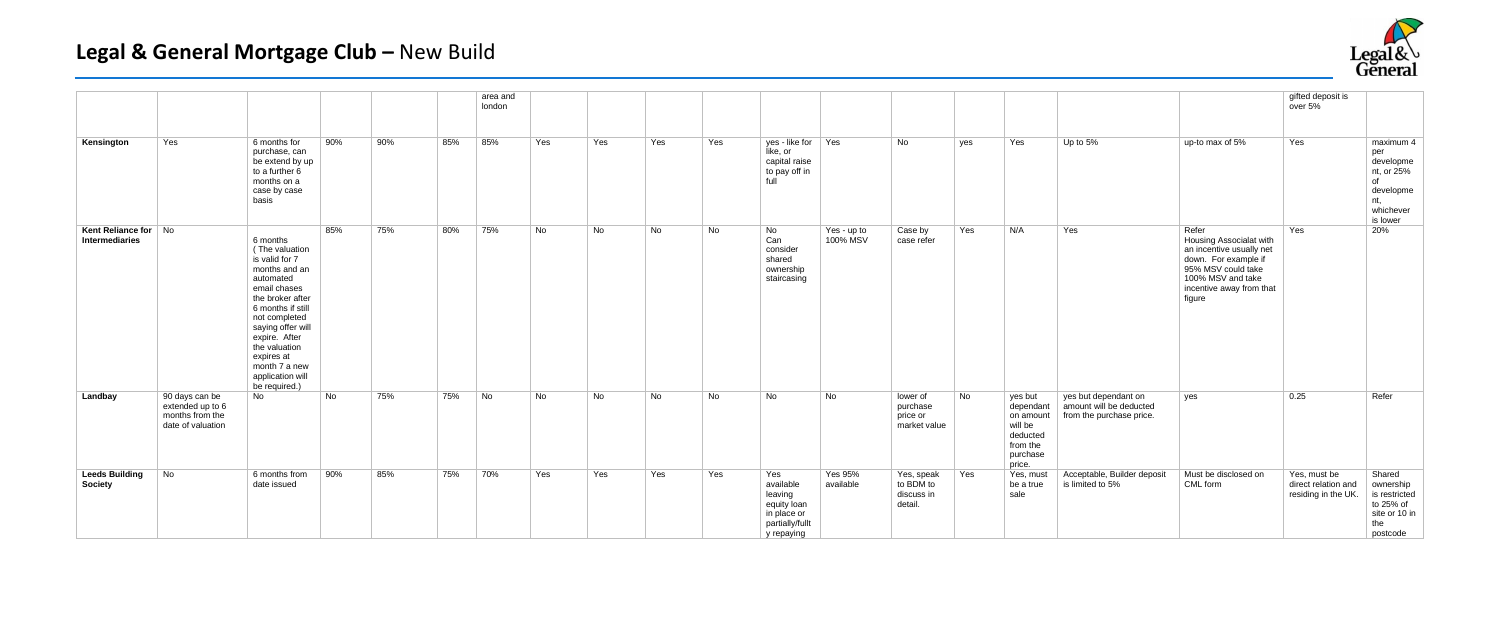|                                         |                                                                            |                                                                                                                                                                                                                                                                                 |     |     |     | area and<br>london |     |           |           |           |                                                                                            |                         |                                                  |           |                                                                                            |                                                                             |                                                                                                                                                                       | gifted deposit is<br>over 5%                               |                                                                                       |
|-----------------------------------------|----------------------------------------------------------------------------|---------------------------------------------------------------------------------------------------------------------------------------------------------------------------------------------------------------------------------------------------------------------------------|-----|-----|-----|--------------------|-----|-----------|-----------|-----------|--------------------------------------------------------------------------------------------|-------------------------|--------------------------------------------------|-----------|--------------------------------------------------------------------------------------------|-----------------------------------------------------------------------------|-----------------------------------------------------------------------------------------------------------------------------------------------------------------------|------------------------------------------------------------|---------------------------------------------------------------------------------------|
| Kensington                              | Yes                                                                        | 6 months for<br>purchase, can<br>be extend by up<br>to a further 6<br>months on a<br>case by case<br>basis                                                                                                                                                                      | 90% | 90% | 85% | 85%                | Yes | Yes       | Yes       | Yes       | yes - like for Yes<br>like, or<br>capital raise<br>to pay off in<br>full                   |                         | No                                               | yes       | Yes                                                                                        | Up to 5%                                                                    | up-to max of 5%                                                                                                                                                       | Yes                                                        | maximum 4<br>per<br>developme<br>nt, or 25%<br>of<br>developme<br>nt,<br>whichever    |
| Kent Reliance for No<br>Intermediaries  |                                                                            | 6 months<br>(The valuation<br>is valid for 7<br>months and an<br>automated<br>email chases<br>the broker after<br>6 months if still<br>not completed<br>saying offer will<br>expire. After<br>the valuation<br>expires at<br>month 7 a new<br>application will<br>be required.) | 85% | 75% | 80% | 75%                | No  | <b>No</b> | <b>No</b> | <b>No</b> | No<br>Can<br>consider<br>shared<br>ownership<br>staircasing                                | Yes - up to<br>100% MSV | Case by<br>case refer                            | Yes       | N/A                                                                                        | Yes                                                                         | Refer<br>Housing Associalat with<br>an incentive usually net<br>down. For example if<br>95% MSV could take<br>100% MSV and take<br>incentive away from that<br>figure | Yes                                                        | is lower<br>20%                                                                       |
| Landbay                                 | 90 days can be<br>extended up to 6<br>months from the<br>date of valuation | No                                                                                                                                                                                                                                                                              | No  | 75% | 75% | No                 | No  | No        | No        | <b>No</b> | <b>No</b>                                                                                  | No                      | lower of<br>purchase<br>price or<br>market value | <b>No</b> | yes but<br>dependant<br>on amount<br>will be<br>deducted<br>from the<br>purchase<br>price. | yes but dependant on<br>amount will be deducted<br>from the purchase price. | yes                                                                                                                                                                   | 0.25                                                       | Refer                                                                                 |
| <b>Leeds Building</b><br><b>Society</b> | No                                                                         | 6 months from<br>date issued                                                                                                                                                                                                                                                    | 90% | 85% | 75% | 70%                | Yes | Yes       | Yes       | Yes       | Yes<br>available<br>leaving<br>equity loan<br>in place or<br>partially/fullt<br>y repaying | Yes 95%<br>available    | Yes, speak<br>to BDM to<br>discuss in<br>detail. | Yes       | Yes, must<br>be a true<br>sale                                                             | Acceptable, Builder deposit<br>is limited to 5%                             | Must be disclosed on<br>CML form                                                                                                                                      | Yes, must be<br>direct relation and<br>residing in the UK. | Shared<br>ownership<br>is restricted<br>to 25% of<br>site or 10 in<br>the<br>postcode |

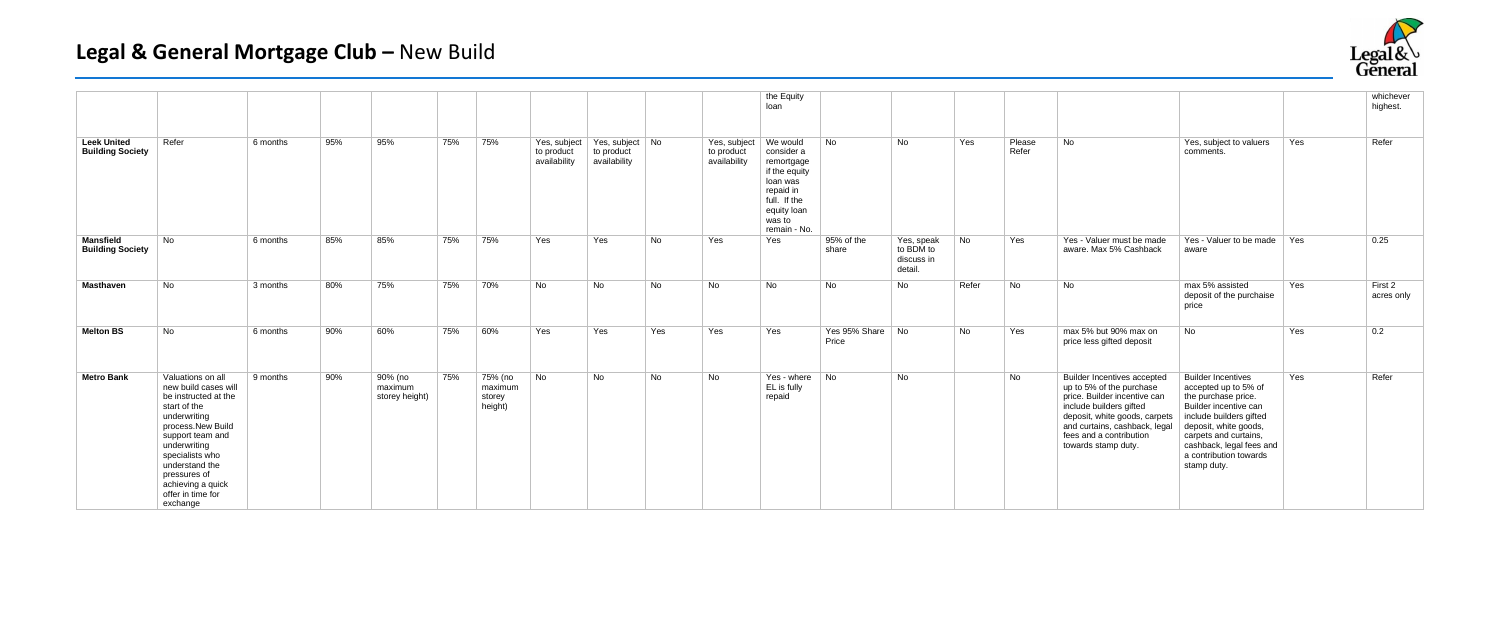|                                               |                                                                                                                                                                                                                                                                       |          |     |                                      |     |                                         |                                            |                                               |           |                                            | the Equity<br>loan                                                                                                                      |                           |                                                  |           |                 |                                                                                                                                                                                                                                               |                                                                                                                                                                                                                                                     |     | whichever<br>highest. |
|-----------------------------------------------|-----------------------------------------------------------------------------------------------------------------------------------------------------------------------------------------------------------------------------------------------------------------------|----------|-----|--------------------------------------|-----|-----------------------------------------|--------------------------------------------|-----------------------------------------------|-----------|--------------------------------------------|-----------------------------------------------------------------------------------------------------------------------------------------|---------------------------|--------------------------------------------------|-----------|-----------------|-----------------------------------------------------------------------------------------------------------------------------------------------------------------------------------------------------------------------------------------------|-----------------------------------------------------------------------------------------------------------------------------------------------------------------------------------------------------------------------------------------------------|-----|-----------------------|
| <b>Leek United</b><br><b>Building Society</b> | Refer                                                                                                                                                                                                                                                                 | 6 months | 95% | 95%                                  | 75% | 75%                                     | Yes, subject<br>to product<br>availability | Yes, subject No<br>to product<br>availability |           | Yes, subject<br>to product<br>availability | We would<br>consider a<br>remortgage<br>if the equity<br>loan was<br>repaid in<br>full. If the<br>equity loan<br>was to<br>remain - No. | No                        | <b>No</b>                                        | Yes       | Please<br>Refer | <b>No</b>                                                                                                                                                                                                                                     | Yes, subject to valuers<br>comments.                                                                                                                                                                                                                | Yes | Refer                 |
| <b>Mansfield</b><br><b>Building Society</b>   | <b>No</b>                                                                                                                                                                                                                                                             | 6 months | 85% | 85%                                  | 75% | 75%                                     | Yes                                        | Yes                                           | <b>No</b> | Yes                                        | Yes                                                                                                                                     | 95% of the<br>share       | Yes, speak<br>to BDM to<br>discuss in<br>detail. | <b>No</b> | Yes             | Yes - Valuer must be made<br>aware. Max 5% Cashback                                                                                                                                                                                           | Yes - Valuer to be made $\parallel$ Yes<br>aware                                                                                                                                                                                                    |     | 0.25                  |
| <b>Masthaven</b>                              | No                                                                                                                                                                                                                                                                    | 3 months | 80% | 75%                                  | 75% | 70%                                     | No                                         | <b>No</b>                                     | <b>No</b> | <b>No</b>                                  | <b>No</b>                                                                                                                               | <b>No</b>                 | <b>No</b>                                        | Refer     | <b>No</b>       | <b>No</b>                                                                                                                                                                                                                                     | max 5% assisted<br>deposit of the purchaise<br>price                                                                                                                                                                                                | Yes | First 2<br>acres only |
| <b>Melton BS</b>                              | <b>No</b>                                                                                                                                                                                                                                                             | 6 months | 90% | 60%                                  | 75% | 60%                                     | Yes                                        | Yes                                           | Yes       | Yes                                        | Yes                                                                                                                                     | Yes 95% Share No<br>Price |                                                  | <b>No</b> | Yes             | max 5% but 90% max on<br>price less gifted deposit                                                                                                                                                                                            | <b>No</b>                                                                                                                                                                                                                                           | Yes | 0.2                   |
| <b>Metro Bank</b>                             | Valuations on all<br>new build cases will<br>be instructed at the<br>start of the<br>underwriting<br>process.New Build<br>support team and<br>underwriting<br>specialists who<br>understand the<br>pressures of<br>achieving a quick<br>offer in time for<br>exchange | 9 months | 90% | 90% (no<br>maximum<br>storey height) | 75% | 75% (no<br>maximum<br>storey<br>height) | No                                         | <b>No</b>                                     | <b>No</b> | <b>No</b>                                  | Yes - where No<br>EL is fully<br>repaid                                                                                                 |                           | No                                               |           | No              | <b>Builder Incentives accepted</b><br>up to 5% of the purchase<br>price. Builder incentive can<br>include builders gifted<br>deposit, white goods, carpets<br>and curtains, cashback, legal<br>fees and a contribution<br>towards stamp duty. | <b>Builder Incentives</b><br>accepted up to 5% of<br>the purchase price.<br>Builder incentive can<br>include builders gifted<br>deposit, white goods,<br>carpets and curtains,<br>cashback, legal fees and<br>a contribution towards<br>stamp duty. | Yes | Refer                 |

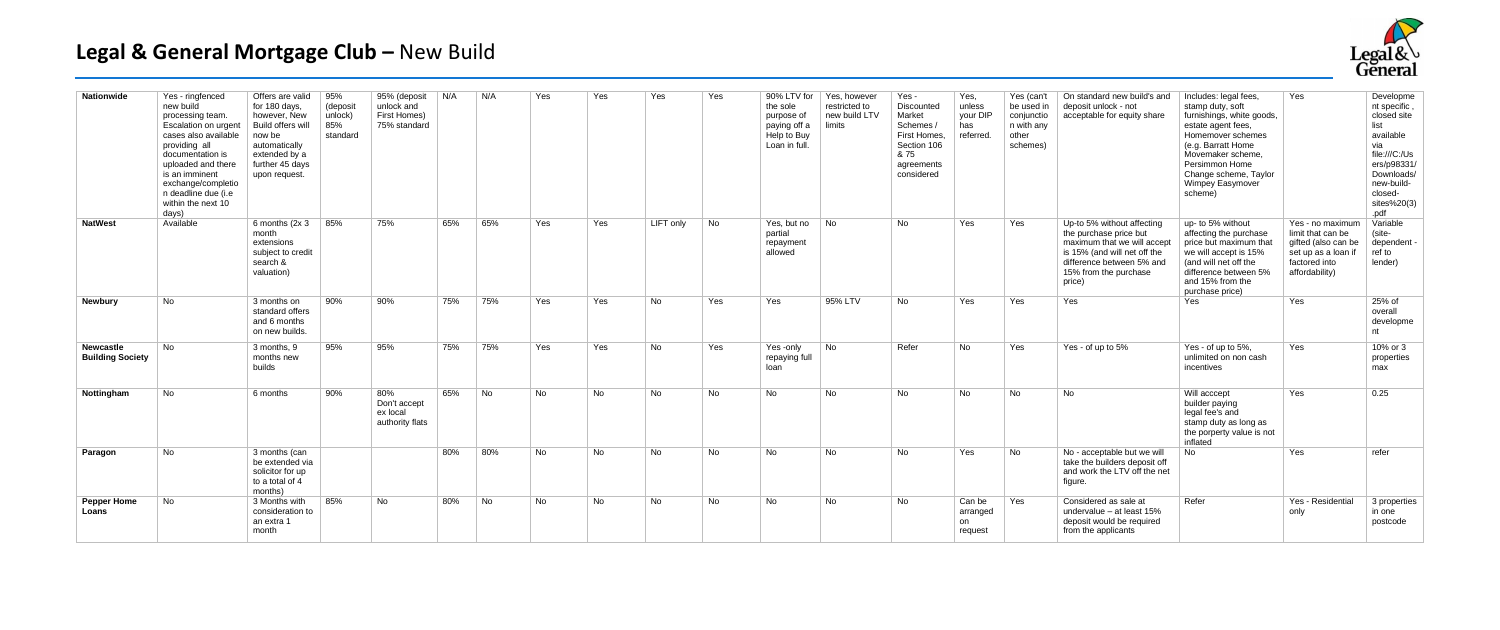| <b>Nationwide</b>                           | Yes - ringfenced<br>new build<br>processing team.<br><b>Escalation on urgent</b><br>cases also available<br>providing all<br>documentation is<br>uploaded and there<br>is an imminent<br>exchange/completio<br>n deadline due (i.e<br>within the next 10<br>days) | Offers are valid<br>for 180 days,<br>however, New<br>Build offers will<br>now be<br>automatically<br>extended by a<br>further 45 days<br>upon request. | 95%<br>(deposit<br>unlock)<br>85%<br>standard | 95% (deposit<br>unlock and<br>First Homes)<br>75% standard | N/A | N/A | Yes       | Yes | Yes       | Yes       | 90% LTV for<br>the sole<br>purpose of<br>paying off a<br>Help to Buy<br>Loan in full. | Yes, however<br>restricted to<br>new build LTV<br>limits | Yes -<br>Discounted<br>Market<br>Schemes /<br>First Homes,<br>Section 106<br>& 75<br>agreements<br>considered | Yes,<br>unless<br>your DIP<br>has<br>referred. | Yes (can't<br>be used in<br>conjunctio<br>n with any<br>other<br>schemes) | On standard new build's and<br>deposit unlock - not<br>acceptable for equity share                                                                                                  | Includes: legal fees,<br>stamp duty, soft<br>furnishings, white goods,<br>estate agent fees,<br>Homemover schemes<br>(e.g. Barratt Home<br>Movemaker scheme.<br>Persimmon Home<br>Change scheme, Taylor<br>Wimpey Easymover<br>scheme) | Yes                                                                                                                   | Developme<br>nt specific,<br>closed site<br>list<br>available<br>via<br>file:///C:/Us<br>ers/p98331/<br>Downloads/<br>new-build-<br>closed-<br>sites%20(3)<br>.pdf |
|---------------------------------------------|-------------------------------------------------------------------------------------------------------------------------------------------------------------------------------------------------------------------------------------------------------------------|--------------------------------------------------------------------------------------------------------------------------------------------------------|-----------------------------------------------|------------------------------------------------------------|-----|-----|-----------|-----|-----------|-----------|---------------------------------------------------------------------------------------|----------------------------------------------------------|---------------------------------------------------------------------------------------------------------------|------------------------------------------------|---------------------------------------------------------------------------|-------------------------------------------------------------------------------------------------------------------------------------------------------------------------------------|----------------------------------------------------------------------------------------------------------------------------------------------------------------------------------------------------------------------------------------|-----------------------------------------------------------------------------------------------------------------------|--------------------------------------------------------------------------------------------------------------------------------------------------------------------|
| <b>NatWest</b>                              | Available                                                                                                                                                                                                                                                         | 6 months $(2x 3)$<br>month<br>extensions<br>subject to credit<br>search &<br>valuation)                                                                | 85%                                           | 75%                                                        | 65% | 65% | Yes       | Yes | LIFT only | <b>No</b> | Yes, but no<br>partial<br>repayment<br>allowed                                        | No                                                       | <b>No</b>                                                                                                     | Yes                                            | Yes                                                                       | Up-to 5% without affecting<br>the purchase price but<br>maximum that we will accept<br>is 15% (and will net off the<br>difference between 5% and<br>15% from the purchase<br>price) | up- to 5% without<br>affecting the purchase<br>price but maximum that<br>we will accept is 15%<br>(and will net off the<br>difference between 5%<br>and 15% from the<br>purchase price)                                                | Yes - no maximum<br>limit that can be<br>gifted (also can be<br>set up as a loan i<br>factored into<br>affordability) | Variable<br>(site-<br>dependent -<br>ref to<br>lender)                                                                                                             |
| <b>Newbury</b>                              | <b>No</b>                                                                                                                                                                                                                                                         | 3 months on<br>standard offers<br>and 6 months<br>on new builds.                                                                                       | 90%                                           | 90%                                                        | 75% | 75% | Yes       | Yes | No        | Yes       | Yes                                                                                   | 95% LTV                                                  | <b>No</b>                                                                                                     | Yes                                            | Yes                                                                       | Yes                                                                                                                                                                                 | Yes                                                                                                                                                                                                                                    | Yes                                                                                                                   | 25% of<br>overall<br>developme<br>nt                                                                                                                               |
| <b>Newcastle</b><br><b>Building Society</b> | <b>No</b>                                                                                                                                                                                                                                                         | 3 months, 9<br>months new<br>builds                                                                                                                    | 95%                                           | 95%                                                        | 75% | 75% | Yes       | Yes | <b>No</b> | Yes       | Yes-only<br>repaying full<br>loan                                                     | No                                                       | Refer                                                                                                         | <b>No</b>                                      | Yes                                                                       | Yes - of up to 5%                                                                                                                                                                   | Yes - of up to 5%.<br>unlimited on non cash<br>incentives                                                                                                                                                                              | Yes                                                                                                                   | 10% or 3<br>properties<br>max                                                                                                                                      |
| Nottingham                                  | <b>No</b>                                                                                                                                                                                                                                                         | 6 months                                                                                                                                               | 90%                                           | 80%<br>Don't accept<br>ex local<br>authority flats         | 65% | No  | <b>No</b> | No  | No        | <b>No</b> | <b>No</b>                                                                             | <b>No</b>                                                | No.                                                                                                           | No.                                            | <b>No</b>                                                                 | <b>No</b>                                                                                                                                                                           | Will acccept<br>builder paying<br>legal fee's and<br>stamp duty as long as<br>the porperty value is not<br>inflated                                                                                                                    | Yes                                                                                                                   | 0.25                                                                                                                                                               |
| Paragon                                     | <b>No</b>                                                                                                                                                                                                                                                         | 3 months (can<br>be extended via<br>solicitor for up<br>to a total of 4<br>months)                                                                     |                                               |                                                            | 80% | 80% | <b>No</b> | No  | No        | <b>No</b> | No                                                                                    | <b>No</b>                                                | No                                                                                                            | Yes                                            | <b>No</b>                                                                 | No - acceptable but we will<br>take the builders deposit off<br>and work the LTV off the net<br>figure.                                                                             | No.                                                                                                                                                                                                                                    | Yes                                                                                                                   | refer                                                                                                                                                              |
| <b>Pepper Home</b><br>Loans                 | No                                                                                                                                                                                                                                                                | 3 Months with<br>consideration to<br>an extra '<br>month                                                                                               | 85%                                           | No                                                         | 80% | No  | No        | No  | No        | <b>No</b> | <b>No</b>                                                                             | No                                                       | No                                                                                                            | Can be<br>arranged<br>on<br>request            | Yes                                                                       | Considered as sale at<br>undervalue $-$ at least 15%<br>deposit would be required<br>from the applicants                                                                            | Refer                                                                                                                                                                                                                                  | Yes - Residential<br>only                                                                                             | 3 properties<br>in one<br>postcode                                                                                                                                 |

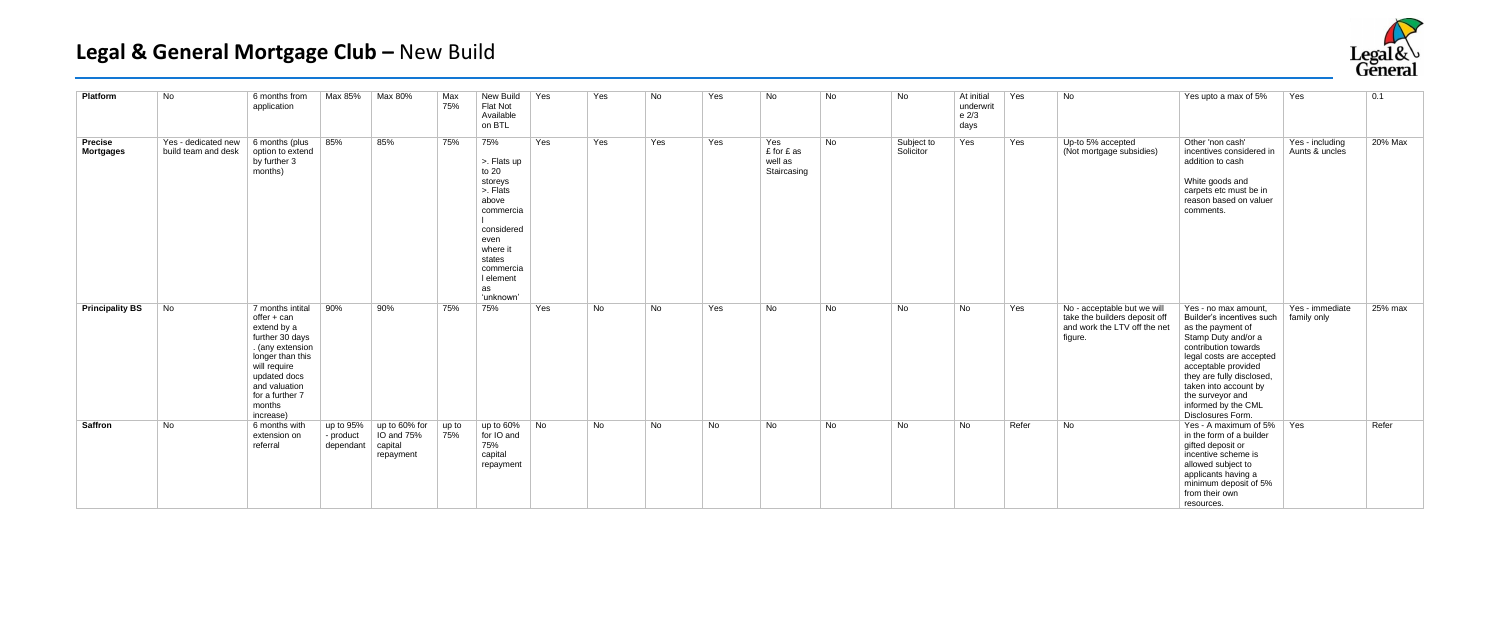| <b>Platform</b>                    | No                                                               | 6 months from<br>application                                                                                                                                                                         | Max 85%                             | Max 80%                                             | Max<br>75%   | New Build<br>Flat Not<br>Available<br>on BTL                                                                                                                      | Yes                         | Yes | No  | Yes       | <b>No</b>                                   | No        | No                      | At initial<br>underwrit<br>e 2/3<br>days | Yes   | <b>No</b>                                                                                               | Yes upto a max of 5%                                                                                                                                                                                                                                                                           | Yes                               | 0.1     |
|------------------------------------|------------------------------------------------------------------|------------------------------------------------------------------------------------------------------------------------------------------------------------------------------------------------------|-------------------------------------|-----------------------------------------------------|--------------|-------------------------------------------------------------------------------------------------------------------------------------------------------------------|-----------------------------|-----|-----|-----------|---------------------------------------------|-----------|-------------------------|------------------------------------------|-------|---------------------------------------------------------------------------------------------------------|------------------------------------------------------------------------------------------------------------------------------------------------------------------------------------------------------------------------------------------------------------------------------------------------|-----------------------------------|---------|
| <b>Precise</b><br><b>Mortgages</b> | Yes - dedicated new $\mid$ 6 months (plus<br>build team and desk | option to extend<br>by further 3<br>months)                                                                                                                                                          | 85%                                 | 85%                                                 | 75%          | 75%<br>>. Flats up<br>to 20<br>storeys<br>>. Flats<br>above<br>commercia<br>considered<br>even<br>where it<br>states<br>commercia<br>I element<br>as<br>'unknown' | Yes                         | Yes | Yes | Yes       | Yes<br>£ for £ as<br>well as<br>Staircasing | No.       | Subject to<br>Solicitor | Yes                                      | Yes   | Up-to 5% accepted<br>(Not mortgage subsidies)                                                           | Other 'non cash'<br>incentives considered in<br>addition to cash<br>White goods and<br>carpets etc must be in<br>reason based on valuer<br>comments.                                                                                                                                           | Yes - including<br>Aunts & uncles | 20% Max |
| <b>Principality BS</b>             | No                                                               | 7 months intital<br>offer + can<br>extend by a<br>further 30 days<br>. (any extension<br>longer than this<br>will require<br>updated docs<br>and valuation<br>for a further 7<br>months<br>increase) | 90%                                 | 90%                                                 | 75%          | 75%                                                                                                                                                               | Yes                         | No  | No  | Yes       | <b>No</b>                                   | No        | No                      | No                                       | Yes   | No - acceptable but we will<br>take the builders deposit off<br>and work the LTV off the net<br>figure. | Yes - no max amount,<br>Builder's incentives such<br>as the payment of<br>Stamp Duty and/or a<br>contribution towards<br>legal costs are accepted<br>acceptable provided<br>they are fully disclosed,<br>taken into account by<br>the surveyor and<br>informed by the CML<br>Disclosures Form. | Yes - immediate<br>family only    | 25% max |
| <b>Saffron</b>                     | No                                                               | 6 months with<br>extension on<br>referral                                                                                                                                                            | up to 95%<br>- product<br>dependant | up to 60% for<br>IO and 75%<br>capital<br>repayment | up to<br>75% | up to 60%<br>for IO and<br>75%<br>capital<br>repayment                                                                                                            | $\overline{\phantom{a}}$ No | No  | No  | <b>No</b> | <b>No</b>                                   | <b>No</b> | No                      | No.                                      | Refer | No                                                                                                      | Yes - A maximum of 5%   Yes<br>in the form of a builder<br>gifted deposit or<br>incentive scheme is<br>allowed subject to<br>applicants having a<br>minimum deposit of 5%<br>from their own<br>resources.                                                                                      |                                   | Refer   |

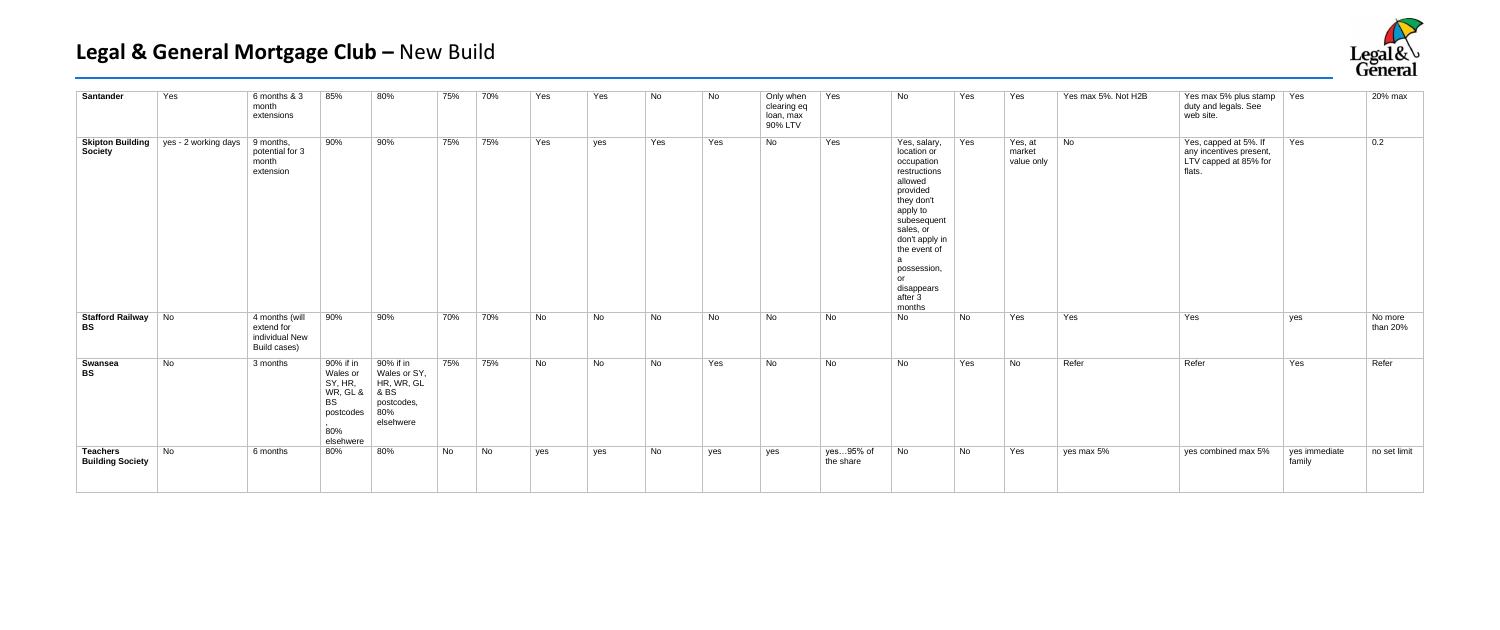| Santander                                  | Yes                  | 6 months & 3<br>month<br>extensions                            | 85%                                                                                 | 80%                                                                               | 75% | 70% | Yes | Yes | No  | No  | Only when<br>clearing eq<br>loan, max<br>90% LTV | Yes                    | No                                                                                                                                                                                                                                    | Yes | Yes                             | Yes max 5%. Not H2B | Yes max 5% plus stamp<br>duty and legals. See<br>web site.                          | Yes                     | 20% max             |
|--------------------------------------------|----------------------|----------------------------------------------------------------|-------------------------------------------------------------------------------------|-----------------------------------------------------------------------------------|-----|-----|-----|-----|-----|-----|--------------------------------------------------|------------------------|---------------------------------------------------------------------------------------------------------------------------------------------------------------------------------------------------------------------------------------|-----|---------------------------------|---------------------|-------------------------------------------------------------------------------------|-------------------------|---------------------|
| <b>Skipton Building</b><br>Society         | yes - 2 working days | $\vert$ 9 months,<br>potential for 3<br>month<br>extension     | 90%                                                                                 | 90%                                                                               | 75% | 75% | Yes | yes | Yes | Yes | No                                               | Yes                    | Yes, salary,<br>location or<br>occupation<br>restructions<br>allowed<br>provided<br>they don't<br>apply to<br>subesequent<br>sales, or<br>don't apply in<br>the event of<br>a<br>possession,<br>or<br>disappears<br>after 3<br>months | Yes | Yes, at<br>market<br>value only | No                  | Yes, capped at 5%. If<br>any incentives present,<br>LTV capped at 85% for<br>flats. | Yes                     | 0.2                 |
| Stafford Railway No<br><b>BS</b>           |                      | 4 months (will<br>extend for<br>individual New<br>Build cases) | 90%                                                                                 | 90%                                                                               | 70% | 70% | No  | No  | No  | No  | No                                               | No                     | No                                                                                                                                                                                                                                    | No  | Yes                             | Yes                 | Yes                                                                                 | yes                     | No more<br>than 20% |
| Swansea<br><b>BS</b>                       | No                   | 3 months                                                       | 90% if in<br>Wales or<br>SY, HR,<br>WR, GL &<br>BS<br>postcodes<br>80%<br>elsehwere | 90% if in<br>Wales or SY,<br>HR, WR, GL<br>8 BS<br>postcodes,<br>80%<br>elsehwere | 75% | 75% | No  | No  | No  | Yes | No                                               | No                     | No                                                                                                                                                                                                                                    | Yes | No                              | Refer               | Refer                                                                               | Yes                     | Refer               |
| <b>Teachers</b><br><b>Building Society</b> | No                   | 6 months                                                       | 80%                                                                                 | 80%                                                                               | No  | No  | yes | yes | No  | yes | yes                                              | yes95% of<br>the share | No                                                                                                                                                                                                                                    | No  | Yes                             | yes max 5%          | yes combined max 5%                                                                 | yes immediate<br>family | no set limit        |

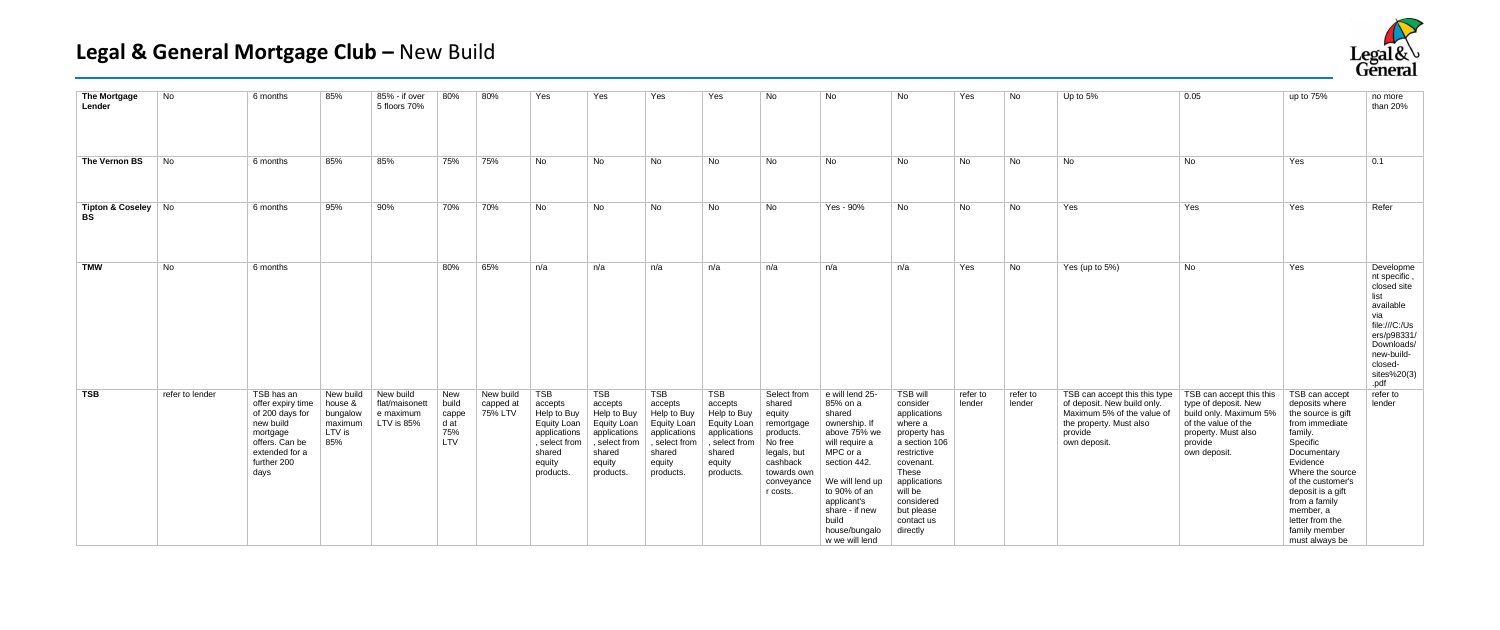| <b>The Mortgage</b><br>Lender      | No              | 6 months                                                                                                                               | 85%                                                          | 85% - if over<br>5 floors 70%                          | 80%                                         | 80%                               | Yes                                                                                                                   | Yes                                                                                                                          | Yes                                                                                                                          | Yes                                                                                                                          | No                                                                                                                                        | No                                                                                                                                                                                                                                   | No                                                                                                                                                                                                            | Yes                | No                 | Up to $5%$                                                                                                                                       | 0.05                                                                                                                                                | up to 75%                                                                                                                                                                                                                                                                    | no more<br>than 20%                                                                                                                                               |
|------------------------------------|-----------------|----------------------------------------------------------------------------------------------------------------------------------------|--------------------------------------------------------------|--------------------------------------------------------|---------------------------------------------|-----------------------------------|-----------------------------------------------------------------------------------------------------------------------|------------------------------------------------------------------------------------------------------------------------------|------------------------------------------------------------------------------------------------------------------------------|------------------------------------------------------------------------------------------------------------------------------|-------------------------------------------------------------------------------------------------------------------------------------------|--------------------------------------------------------------------------------------------------------------------------------------------------------------------------------------------------------------------------------------|---------------------------------------------------------------------------------------------------------------------------------------------------------------------------------------------------------------|--------------------|--------------------|--------------------------------------------------------------------------------------------------------------------------------------------------|-----------------------------------------------------------------------------------------------------------------------------------------------------|------------------------------------------------------------------------------------------------------------------------------------------------------------------------------------------------------------------------------------------------------------------------------|-------------------------------------------------------------------------------------------------------------------------------------------------------------------|
| The Vernon BS                      | No              | 6 months                                                                                                                               | 85%                                                          | 85%                                                    | 75%                                         | 75%                               | No                                                                                                                    | No                                                                                                                           | No                                                                                                                           | No                                                                                                                           | No                                                                                                                                        | No                                                                                                                                                                                                                                   | No                                                                                                                                                                                                            | No                 | No                 | No                                                                                                                                               | No                                                                                                                                                  | Yes                                                                                                                                                                                                                                                                          | 0.1                                                                                                                                                               |
| Tipton & Coseley   No<br><b>BS</b> |                 | 6 months                                                                                                                               | 95%                                                          | 90%                                                    | 70%                                         | 70%                               | No                                                                                                                    | No                                                                                                                           | No                                                                                                                           | No                                                                                                                           | No                                                                                                                                        | Yes - 90%                                                                                                                                                                                                                            | No                                                                                                                                                                                                            | No                 | No                 | Yes                                                                                                                                              | Yes                                                                                                                                                 | Yes                                                                                                                                                                                                                                                                          | Refer                                                                                                                                                             |
| <b>TMW</b>                         | No              | 6 months                                                                                                                               |                                                              |                                                        | 80%                                         | 65%                               | n/a                                                                                                                   | n/a                                                                                                                          | n/a                                                                                                                          | n/a                                                                                                                          | n/a                                                                                                                                       | n/a                                                                                                                                                                                                                                  | n/a                                                                                                                                                                                                           | Yes                | No                 | Yes (up to 5%)                                                                                                                                   | No                                                                                                                                                  | Yes                                                                                                                                                                                                                                                                          | Developme<br>nt specific<br>closed site<br>list<br>available<br>via<br>file:///C:/Us<br>ers/p98331/<br>Downloads/<br>new-build-<br>closed-<br>sites%20(3)<br>.pdf |
| <b>TSB</b>                         | refer to lender | TSB has an<br>offer expiry time<br>of 200 days for<br>new build<br>mortgage<br>offers. Can be<br>extended for a<br>further 200<br>days | New build<br>house &<br>bungalow<br>maximum<br>LTV is<br>85% | New build<br>flat/maisonett<br>e maximum<br>LTV is 85% | New<br>build<br>cappe<br>d at<br>75%<br>LTV | New build<br>capped at<br>75% LTV | <b>TSB</b><br>accepts<br>Help to Buy<br>Equity Loan<br>applications<br>, select from<br>shared<br>equity<br>products. | <b>TSB</b><br>accepts<br>Help to Buy<br><b>Equity Loan</b><br>applications<br>, select from<br>shared<br>equity<br>products. | <b>TSB</b><br>accepts<br>Help to Buy<br><b>Equity Loan</b><br>applications<br>, select from<br>shared<br>equity<br>products. | <b>TSB</b><br>accepts<br>Help to Buy<br><b>Equity Loan</b><br>applications<br>, select from<br>shared<br>equity<br>products. | Select from<br>shared<br>equity<br>remortgage<br>products.<br>No free<br>legals, but<br>cashback<br>towards own<br>conveyance<br>r costs. | e will lend 25-<br>85% on a<br>shared<br>ownership. If<br>above 75% we<br>will require a<br>MPC or a<br>section 442.<br>We will lend up<br>to 90% of an<br>applicant's<br>share - if new<br>build<br>house/bungalo<br>w we will lend | <b>TSB will</b><br>consider<br>applications<br>where a<br>property has<br>a section 106<br>restrictive<br>covenant.<br>These<br>applications<br>will be<br>considered<br>but please<br>contact us<br>directly | refer to<br>lender | refer to<br>lender | TSB can accept this this type<br>of deposit. New build only.<br>Maximum 5% of the value of<br>the property. Must also<br>provide<br>own deposit. | TSB can accept this this<br>type of deposit. New<br>build only. Maximum 5%<br>of the value of the<br>property. Must also<br>provide<br>own deposit. | TSB can accept<br>deposits where<br>the source is gift<br>from immediate<br>family.<br>Specific<br>Documentary<br>Evidence<br>Where the source<br>of the customer's<br>deposit is a gift<br>from a family<br>member, a<br>letter from the<br>family member<br>must always be | refer to<br>lender                                                                                                                                                |

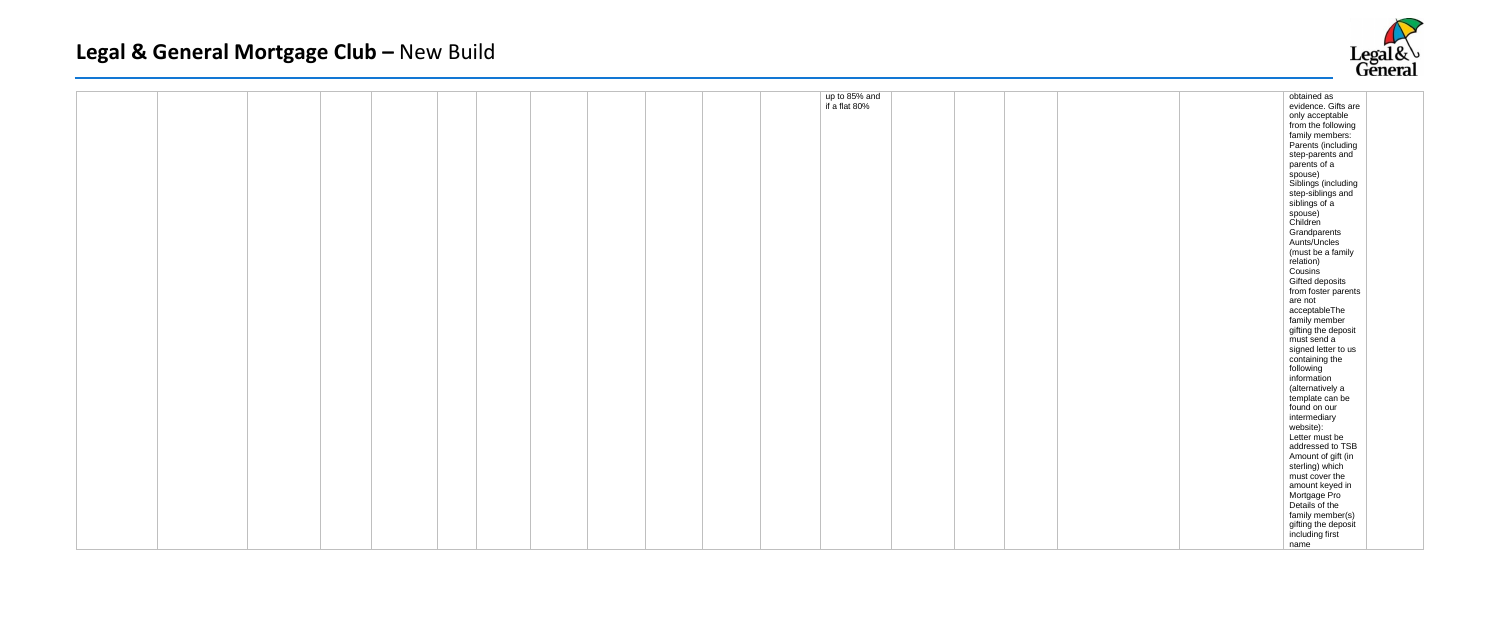|  |  |  |  |  |  | up to 85% and<br>if a flat 80% |  |
|--|--|--|--|--|--|--------------------------------|--|
|  |  |  |  |  |  |                                |  |
|  |  |  |  |  |  |                                |  |
|  |  |  |  |  |  |                                |  |
|  |  |  |  |  |  |                                |  |
|  |  |  |  |  |  |                                |  |
|  |  |  |  |  |  |                                |  |
|  |  |  |  |  |  |                                |  |
|  |  |  |  |  |  |                                |  |
|  |  |  |  |  |  |                                |  |
|  |  |  |  |  |  |                                |  |
|  |  |  |  |  |  |                                |  |
|  |  |  |  |  |  |                                |  |
|  |  |  |  |  |  |                                |  |
|  |  |  |  |  |  |                                |  |
|  |  |  |  |  |  |                                |  |
|  |  |  |  |  |  |                                |  |
|  |  |  |  |  |  |                                |  |
|  |  |  |  |  |  |                                |  |



|  |  | obtained as         |  |
|--|--|---------------------|--|
|  |  | evidence. Gifts are |  |
|  |  | only acceptable     |  |
|  |  | from the following  |  |
|  |  | family members:     |  |
|  |  | Parents (including  |  |
|  |  | step-parents and    |  |
|  |  | parents of a        |  |
|  |  | spouse)             |  |
|  |  | Siblings (including |  |
|  |  | step-siblings and   |  |
|  |  | siblings of a       |  |
|  |  | spouse)             |  |
|  |  | Children            |  |
|  |  | Grandparents        |  |
|  |  |                     |  |
|  |  | Aunts/Uncles        |  |
|  |  | (must be a family   |  |
|  |  | relation)           |  |
|  |  | Cousins             |  |
|  |  | Gifted deposits     |  |
|  |  | from foster parents |  |
|  |  | are not             |  |
|  |  | acceptableThe       |  |
|  |  | family member       |  |
|  |  | gifting the deposit |  |
|  |  | must send a         |  |
|  |  | signed letter to us |  |
|  |  | containing the      |  |
|  |  | following           |  |
|  |  | information         |  |
|  |  | (alternatively a    |  |
|  |  | template can be     |  |
|  |  | found on our        |  |
|  |  | intermediary        |  |
|  |  | website):           |  |
|  |  | Letter must be      |  |
|  |  | addressed to TSB    |  |
|  |  | Amount of gift (in  |  |
|  |  | sterling) which     |  |
|  |  | must cover the      |  |
|  |  | amount keyed in     |  |
|  |  | Mortgage Pro        |  |
|  |  | Details of the      |  |
|  |  | family member(s)    |  |
|  |  | gifting the deposit |  |
|  |  | including first     |  |
|  |  | name                |  |
|  |  |                     |  |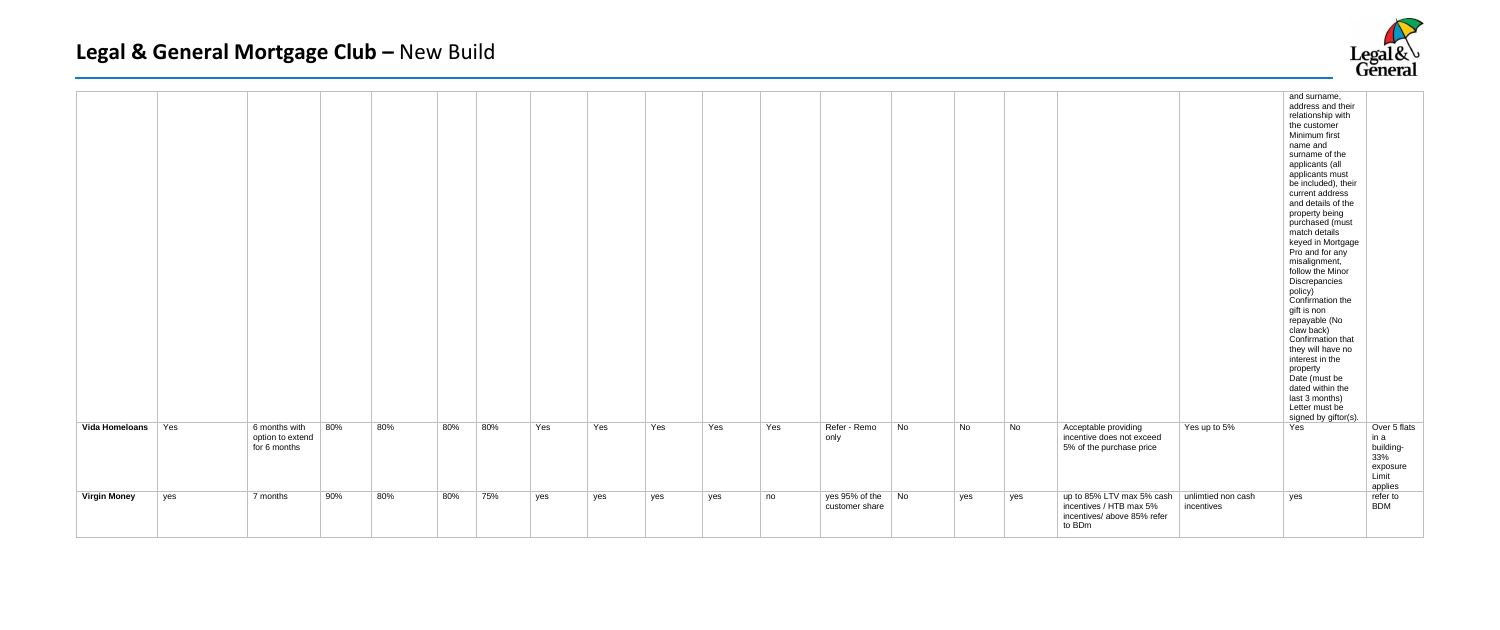|                      |     |                                                          |     |     |     |     |     |     |     |     |                                     |    |     |     |                                                                                               |                                  | and surname,<br>address and their<br>relationship with<br>the customer<br>Minimum first<br>name and<br>surname of the<br>applicants (all<br>applicants must<br>be included), their<br>current address<br>and details of the<br>property being<br>purchased (must<br>match details<br>keyed in Mortgage<br>Pro and for any<br>misalignment,<br>follow the Minor<br>Discrepancies<br>policy)<br>Confirmation the<br>gift is non<br>repayable (No<br>claw back)<br>Confirmation that<br>they will have no<br>interest in the<br>property<br>Date (must be<br>dated within the<br>last 3 months)<br>Letter must be<br>signed by giftor(s). |                                                                          |
|----------------------|-----|----------------------------------------------------------|-----|-----|-----|-----|-----|-----|-----|-----|-------------------------------------|----|-----|-----|-----------------------------------------------------------------------------------------------|----------------------------------|----------------------------------------------------------------------------------------------------------------------------------------------------------------------------------------------------------------------------------------------------------------------------------------------------------------------------------------------------------------------------------------------------------------------------------------------------------------------------------------------------------------------------------------------------------------------------------------------------------------------------------------|--------------------------------------------------------------------------|
| Vida Homeloans   Yes |     | 80%<br>6 months with<br>option to extend<br>for 6 months | 80% | 80% | 80% | Yes | Yes | Yes | Yes | Yes | Refer - Remo<br>only                | No | No  | No  | Acceptable providing<br>incentive does not exceed<br>5% of the purchase price                 | Yes up to 5%                     | Yes                                                                                                                                                                                                                                                                                                                                                                                                                                                                                                                                                                                                                                    | Over 5 flats<br>in a<br>building-<br>33%<br>exposure<br>Limit<br>applies |
| <b>Virgin Money</b>  | yes | 90%<br>7 months                                          | 80% | 80% | 75% | yes | yes | yes | yes | no  | yes 95% of the No<br>customer share |    | yes | yes | up to 85% LTV max 5% cash<br>incentives / HTB max 5%<br>incentives/ above 85% refer<br>to BDm | unlimtied non cash<br>incentives | yes                                                                                                                                                                                                                                                                                                                                                                                                                                                                                                                                                                                                                                    | refer to<br><b>BDM</b>                                                   |